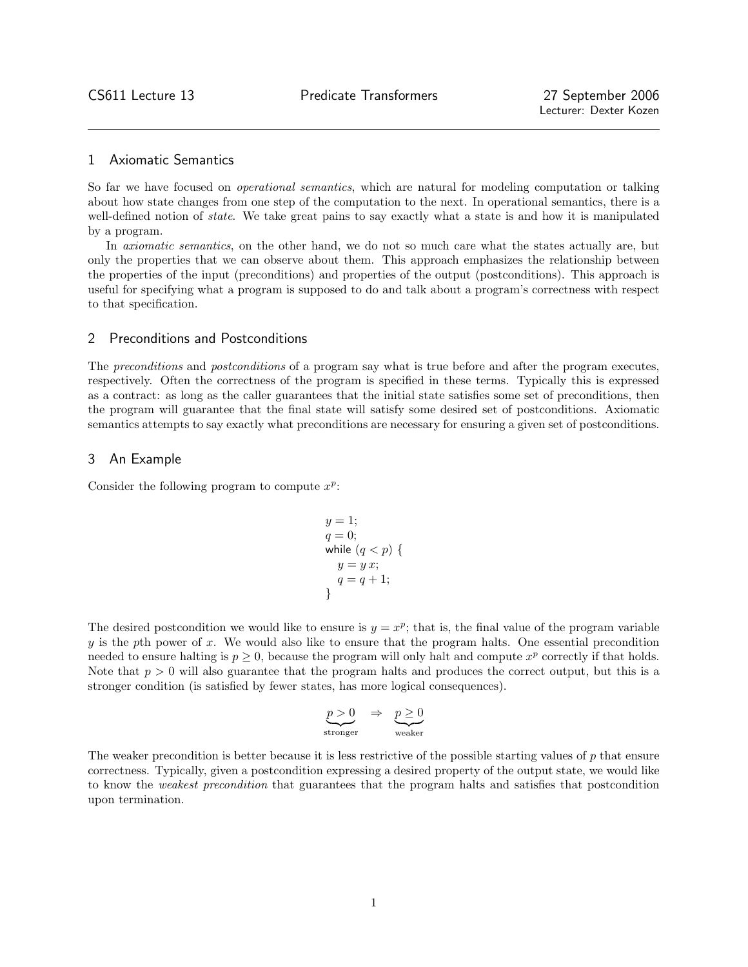# 1 Axiomatic Semantics

So far we have focused on operational semantics, which are natural for modeling computation or talking about how state changes from one step of the computation to the next. In operational semantics, there is a well-defined notion of *state*. We take great pains to say exactly what a state is and how it is manipulated by a program.

In *axiomatic semantics*, on the other hand, we do not so much care what the states actually are, but only the properties that we can observe about them. This approach emphasizes the relationship between the properties of the input (preconditions) and properties of the output (postconditions). This approach is useful for specifying what a program is supposed to do and talk about a program's correctness with respect to that specification.

## 2 Preconditions and Postconditions

The *preconditions* and *postconditions* of a program say what is true before and after the program executes, respectively. Often the correctness of the program is specified in these terms. Typically this is expressed as a contract: as long as the caller guarantees that the initial state satisfies some set of preconditions, then the program will guarantee that the final state will satisfy some desired set of postconditions. Axiomatic semantics attempts to say exactly what preconditions are necessary for ensuring a given set of postconditions.

## 3 An Example

Consider the following program to compute  $x^p$ :

$$
y = 1;q = 0;while (q < p) {y = y x;q = q + 1;}
$$

The desired postcondition we would like to ensure is  $y = x^p$ ; that is, the final value of the program variable  $y$  is the pth power of  $x$ . We would also like to ensure that the program halts. One essential precondition needed to ensure halting is  $p \geq 0$ , because the program will only halt and compute  $x^p$  correctly if that holds. Note that  $p > 0$  will also guarantee that the program halts and produces the correct output, but this is a stronger condition (is satisfied by fewer states, has more logical consequences).

$$
\underbrace{p>0}_{\text{stronger}} \Rightarrow \underbrace{p\geq 0}_{\text{weaker}}
$$

The weaker precondition is better because it is less restrictive of the possible starting values of p that ensure correctness. Typically, given a postcondition expressing a desired property of the output state, we would like to know the weakest precondition that guarantees that the program halts and satisfies that postcondition upon termination.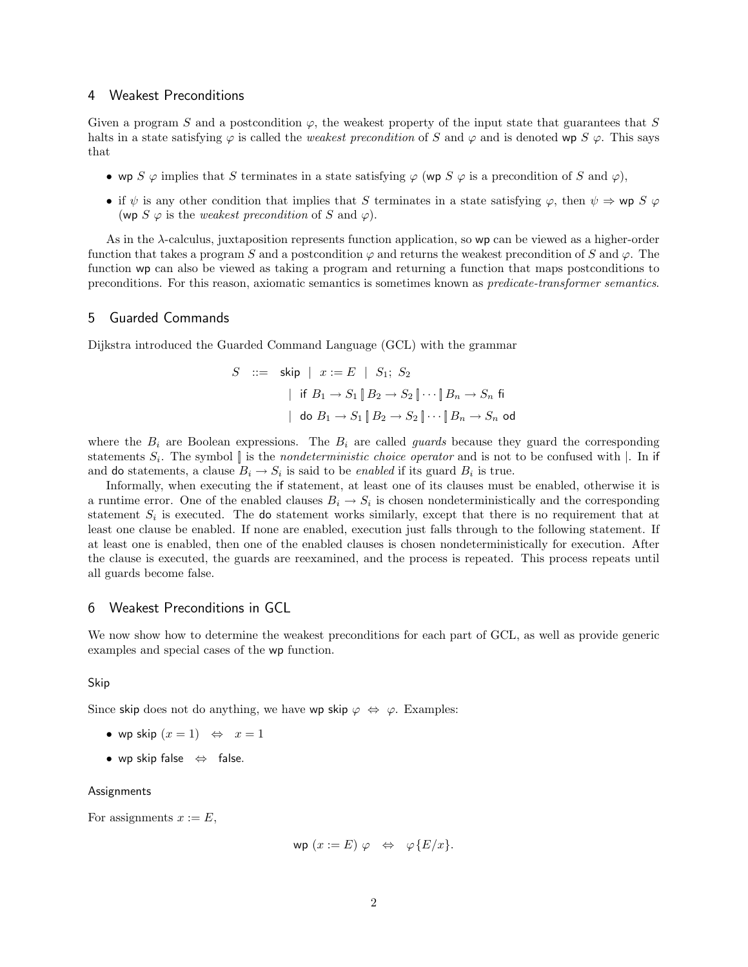## 4 Weakest Preconditions

Given a program S and a postcondition  $\varphi$ , the weakest property of the input state that guarantees that S halts in a state satisfying  $\varphi$  is called the *weakest precondition* of S and  $\varphi$  and is denoted wp S  $\varphi$ . This says that

- wp S  $\varphi$  implies that S terminates in a state satisfying  $\varphi$  (wp S  $\varphi$  is a precondition of S and  $\varphi$ ),
- if  $\psi$  is any other condition that implies that S terminates in a state satisfying  $\varphi$ , then  $\psi \Rightarrow \mathsf{wp} S \varphi$ (wp  $S \varphi$  is the *weakest precondition* of S and  $\varphi$ ).

As in the  $\lambda$ -calculus, juxtaposition represents function application, so wp can be viewed as a higher-order function that takes a program S and a postcondition  $\varphi$  and returns the weakest precondition of S and  $\varphi$ . The function wp can also be viewed as taking a program and returning a function that maps postconditions to preconditions. For this reason, axiomatic semantics is sometimes known as predicate-transformer semantics.

# 5 Guarded Commands

Dijkstra introduced the Guarded Command Language (GCL) with the grammar

$$
S \quad ::= \quad \mathsf{skip} \mid x := E \mid S_1; \ S_2
$$
\n
$$
\mid \text{ if } B_1 \to S_1 \mid B_2 \to S_2 \mid \dots \mid B_n \to S_n \text{ fi}
$$
\n
$$
\mid \text{ do } B_1 \to S_1 \mid B_2 \to S_2 \mid \dots \mid B_n \to S_n \text{ od}
$$

where the  $B_i$  are Boolean expressions. The  $B_i$  are called *guards* because they guard the corresponding statements  $S_i$ . The symbol  $\parallel$  is the *nondeterministic choice operator* and is not to be confused with  $\parallel$ . In if and do statements, a clause  $B_i \to S_i$  is said to be *enabled* if its guard  $B_i$  is true.

Informally, when executing the if statement, at least one of its clauses must be enabled, otherwise it is a runtime error. One of the enabled clauses  $B_i \to S_i$  is chosen nondeterministically and the corresponding statement  $S_i$  is executed. The do statement works similarly, except that there is no requirement that at least one clause be enabled. If none are enabled, execution just falls through to the following statement. If at least one is enabled, then one of the enabled clauses is chosen nondeterministically for execution. After the clause is executed, the guards are reexamined, and the process is repeated. This process repeats until all guards become false.

#### 6 Weakest Preconditions in GCL

We now show how to determine the weakest preconditions for each part of GCL, as well as provide generic examples and special cases of the wp function.

Skip

Since skip does not do anything, we have wp skip  $\varphi \Leftrightarrow \varphi$ . Examples:

- wp skip  $(x = 1) \Leftrightarrow x = 1$
- wp skip false ⇔ false.

#### Assignments

For assignments  $x := E$ ,

$$
wp(x := E) \varphi \Leftrightarrow \varphi\{E/x\}.
$$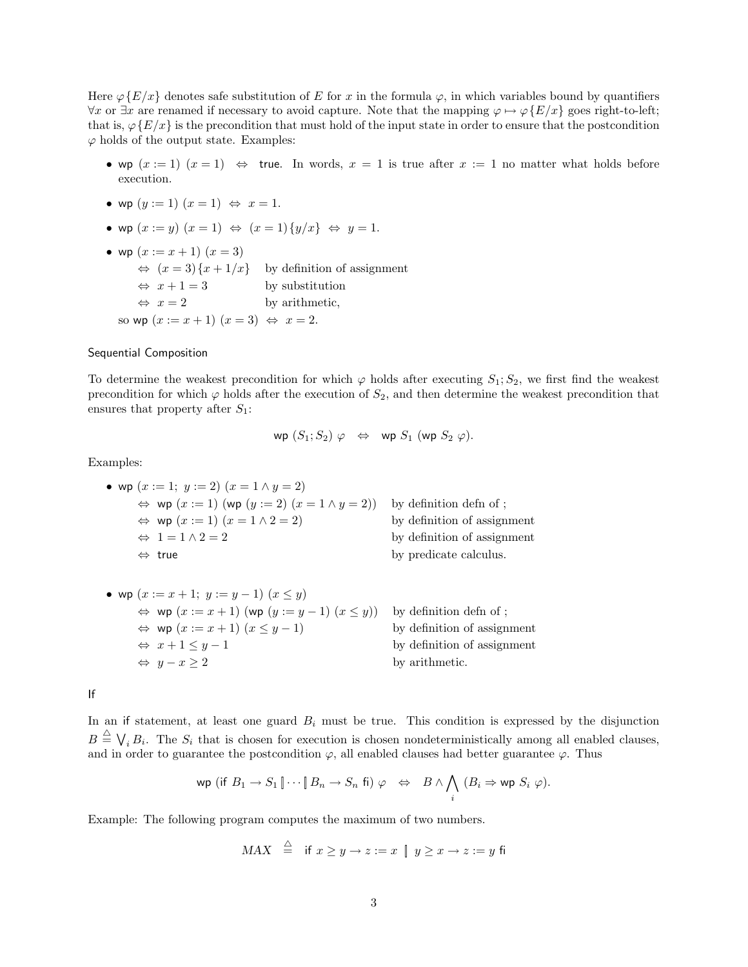Here  $\varphi\{E/x\}$  denotes safe substitution of E for x in the formula  $\varphi$ , in which variables bound by quantifiers  $\forall x$  or  $\exists x$  are renamed if necessary to avoid capture. Note that the mapping  $\varphi \mapsto \varphi\{E/x\}$  goes right-to-left; that is,  $\varphi\{E/x\}$  is the precondition that must hold of the input state in order to ensure that the postcondition  $\varphi$  holds of the output state. Examples:

- wp  $(x := 1)$   $(x = 1) \Leftrightarrow$  true. In words,  $x = 1$  is true after  $x := 1$  no matter what holds before execution.
- wp  $(y := 1)$   $(x = 1) \Leftrightarrow x = 1$ .
- wp  $(x := y)$   $(x = 1) \Leftrightarrow (x = 1) \{y/x\} \Leftrightarrow y = 1.$
- wp  $(x := x + 1)$   $(x = 3)$  $\Leftrightarrow$   $(x = 3) \{x + 1/x\}$  by definition of assignment  $\Leftrightarrow$   $x + 1 = 3$  by substitution  $\Leftrightarrow$   $x = 2$  by arithmetic, so wp  $(x := x + 1)$   $(x = 3) \Leftrightarrow x = 2$ .

#### Sequential Composition

To determine the weakest precondition for which  $\varphi$  holds after executing  $S_1; S_2$ , we first find the weakest precondition for which  $\varphi$  holds after the execution of  $S_2$ , and then determine the weakest precondition that ensures that property after  $S_1$ :

$$
\mathsf{wp}\ (S_1;S_2)\ \varphi\ \Leftrightarrow\ \mathsf{wp}\ S_1\ (\mathsf{wp}\ S_2\ \varphi).
$$

Examples:

- wp  $(x := 1; y := 2)$   $(x = 1 \land y = 2)$  $\Leftrightarrow$  wp  $(x := 1)$  (wp  $(y := 2)$   $(x = 1 \land y = 2)$ ) by definition defn of;  $\Leftrightarrow$  wp  $(x := 1)$   $(x = 1 \land 2 = 2)$  by definition of assignment  $\Leftrightarrow$  1 = 1  $\land$  2 = 2 by definition of assignment  $\Leftrightarrow$  true by predicate calculus.
- wp  $(x := x + 1; y := y 1)$   $(x \le y)$  $\Leftrightarrow$  wp  $(x := x + 1)$  (wp  $(y := y - 1)$   $(x \le y)$ ) by definition defn of;  $\Leftrightarrow$  wp  $(x := x + 1)$   $(x \le y - 1)$  by definition of assignment  $\Leftrightarrow$   $x + 1 \leq y - 1$  by definition of assignment  $\Leftrightarrow$  y - x > 2 by arithmetic.

If

In an if statement, at least one guard  $B_i$  must be true. This condition is expressed by the disjunction  $B \triangleq \bigvee_i B_i$ . The  $S_i$  that is chosen for execution is chosen nondeterministically among all enabled clauses, and in order to guarantee the postcondition  $\varphi$ , all enabled clauses had better guarantee  $\varphi$ . Thus

$$
\text{wp (if } B_1 \to S_1 \, \| \cdots \| \, B_n \to S_n \, \text{fi}) \; \varphi \quad \Leftrightarrow \quad B \land \bigwedge_i \, (B_i \Rightarrow \text{wp } S_i \; \varphi).
$$

Example: The following program computes the maximum of two numbers.

$$
MAX \triangleq \text{if } x \geq y \rightarrow z := x \parallel y \geq x \rightarrow z := y \text{ fi}
$$